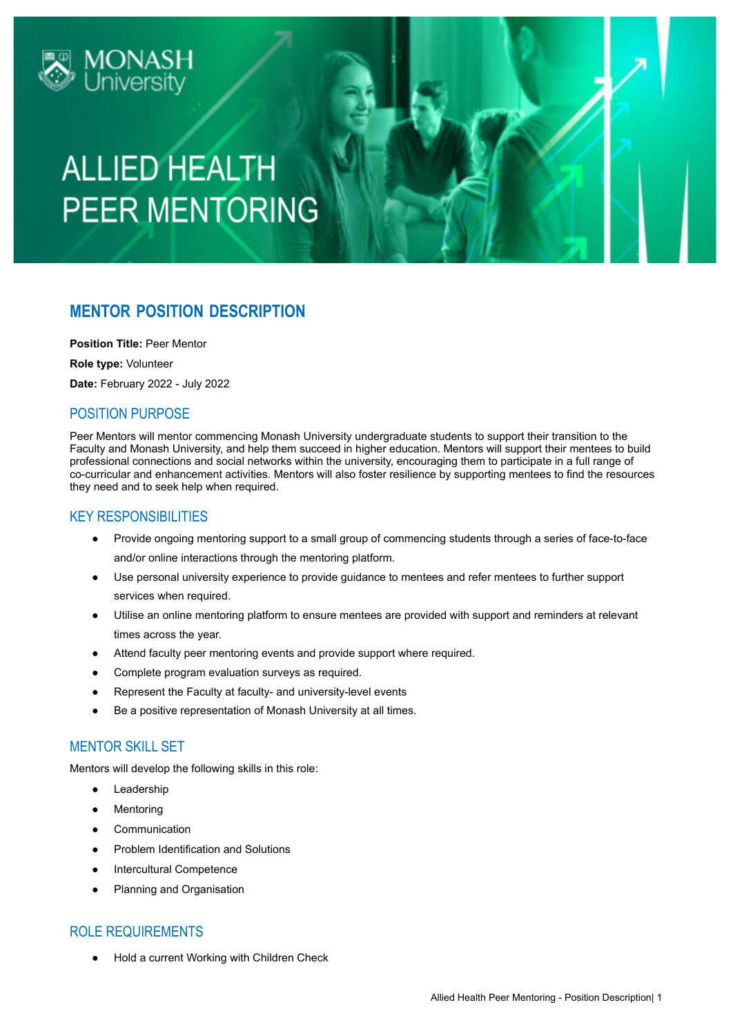

## **ALLIED HEALTH PEER MENTORING**

### **MENTOR POSITION DESCRIPTION**

**Position Title:** Peer Mentor

**Role type:** Volunteer

**Date:** February 2022 - July 2022

#### POSITION PURPOSE

Peer Mentors will mentor commencing Monash University undergraduate students to support their transition to the Faculty and Monash University, and help them succeed in higher education. Mentors will support their mentees to build professional connections and social networks within the university, encouraging them to participate in a full range of co-curricular and enhancement activities. Mentors will also foster resilience by supporting mentees to find the resources they need and to seek help when required.

#### KEY RESPONSIBILITIES

- Provide ongoing mentoring support to a small group of commencing students through a series of face-to-face and/or online interactions through the mentoring platform.
- Use personal university experience to provide guidance to mentees and refer mentees to further support services when required.
- Utilise an online mentoring platform to ensure mentees are provided with support and reminders at relevant times across the year.
- Attend faculty peer mentoring events and provide support where required.
- Complete program evaluation surveys as required.
- Represent the Faculty at faculty- and university-level events
- Be a positive representation of Monash University at all times.

#### MENTOR SKILL SET

Mentors will develop the following skills in this role:

- Leadership
- Mentoring
- Communication
- Problem Identification and Solutions
- **Intercultural Competence**
- Planning and Organisation

#### ROLE REQUIREMENTS

Hold a current Working with Children Check